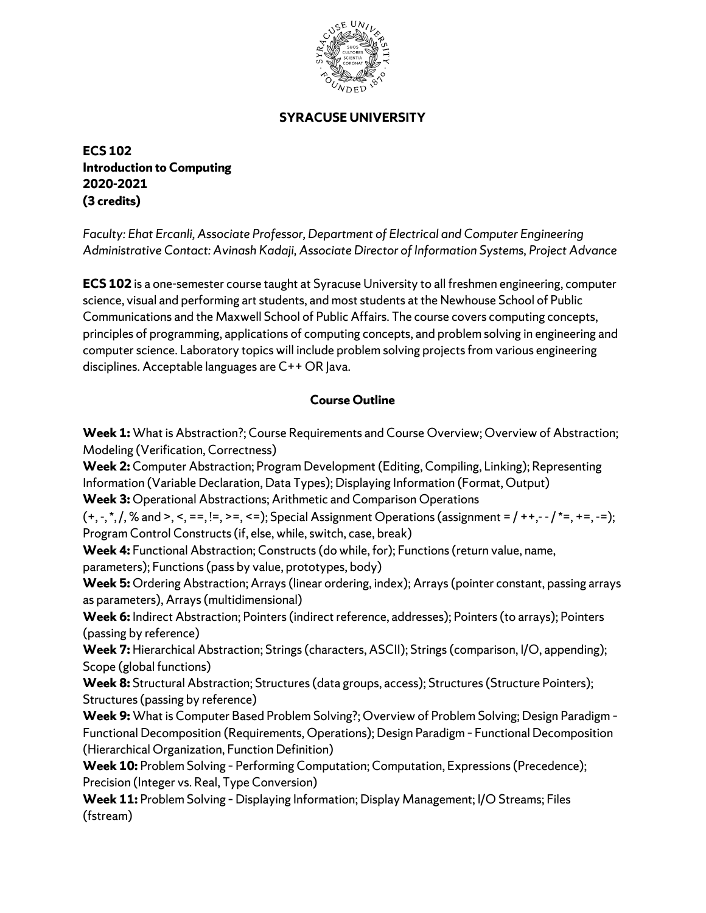

## **SYRACUSE UNIVERSITY**

**ECS 102 Introduction to Computing 2020-2021 (3 credits)**

*Faculty: Ehat Ercanli, Associate Professor, Department of Electrical and Computer Engineering Administrative Contact: Avinash Kadaji, Associate Director of Information Systems, Project Advance* 

**ECS 102** is a one-semester course taught at Syracuse University to all freshmen engineering, computer science, visual and performing art students, and most students at the Newhouse School of Public Communications and the Maxwell School of Public Affairs. The course covers computing concepts, principles of programming, applications of computing concepts, and problem solving in engineering and computer science. Laboratory topics will include problem solving projects from various engineering disciplines. Acceptable languages are C++ OR Java.

## **Course Outline**

**Week 1:** What is Abstraction?; Course Requirements and Course Overview; Overview of Abstraction; Modeling (Verification, Correctness)

**Week 2:** Computer Abstraction; Program Development (Editing, Compiling, Linking); Representing Information (Variable Declaration, Data Types); Displaying Information (Format, Output)

**Week 3:** Operational Abstractions; Arithmetic and Comparison Operations

 $(+, -, *, /, %$  and >, <, ==, !=, >=, <=); Special Assignment Operations (assignment = / ++,- - / \*=, +=, -=); Program Control Constructs (if, else, while, switch, case, break)

**Week 4:** Functional Abstraction; Constructs (do while, for); Functions (return value, name,

parameters); Functions (pass by value, prototypes, body)

**Week 5:** Ordering Abstraction; Arrays (linear ordering, index); Arrays (pointer constant, passing arrays as parameters), Arrays (multidimensional)

**Week 6:** Indirect Abstraction; Pointers (indirect reference, addresses); Pointers (to arrays); Pointers (passing by reference)

**Week 7:** Hierarchical Abstraction; Strings (characters, ASCII); Strings (comparison, I/O, appending); Scope (global functions)

Week 8: Structural Abstraction; Structures (data groups, access); Structures (Structure Pointers); Structures (passing by reference)

**Week 9:** What is Computer Based Problem Solving?; Overview of Problem Solving; Design Paradigm – Functional Decomposition (Requirements, Operations); Design Paradigm – Functional Decomposition (Hierarchical Organization, Function Definition)

**Week 10:** Problem Solving – Performing Computation; Computation, Expressions (Precedence); Precision (Integer vs. Real, Type Conversion)

**Week 11:** Problem Solving – Displaying Information; Display Management; I/O Streams; Files (fstream)